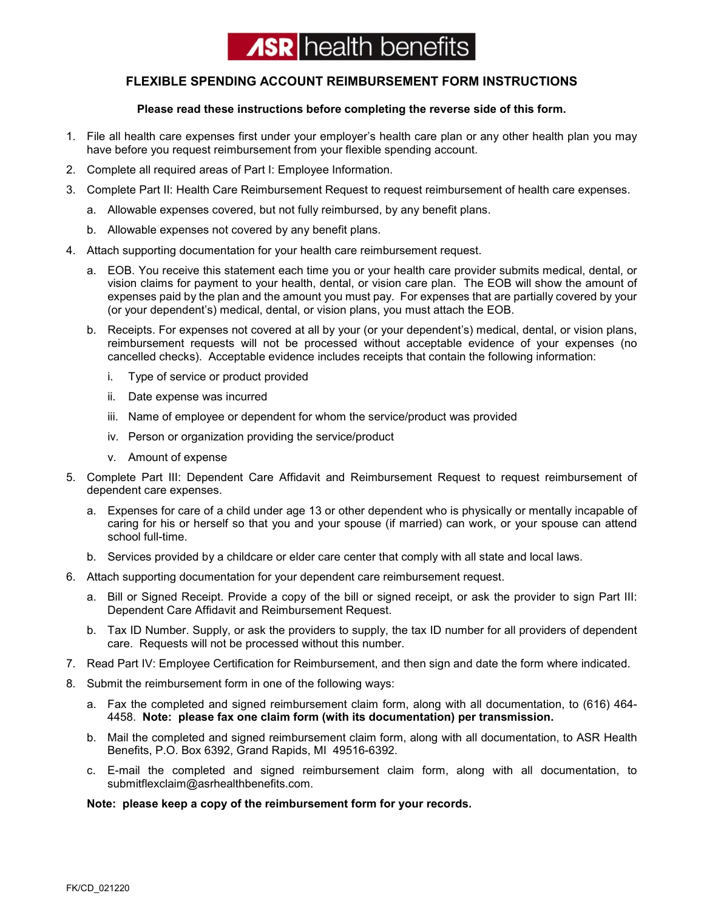## **ASR** health benefits

## **FLEXIBLE SPENDING ACCOUNT REIMBURSEMENT FORM INSTRUCTIONS**

## **Please read these instructions before completing the reverse side of this form.**

- 1. File all health care expenses first under your employer's health care plan or any other health plan you may have before you request reimbursement from your flexible spending account.
- 2. Complete all required areas of Part I: Employee Information.
- 3. Complete Part II: Health Care Reimbursement Request to request reimbursement of health care expenses.
	- a. Allowable expenses covered, but not fully reimbursed, by any benefit plans.
	- b. Allowable expenses not covered by any benefit plans.
- 4. Attach supporting documentation for your health care reimbursement request.
	- a. EOB. You receive this statement each time you or your health care provider submits medical, dental, or vision claims for payment to your health, dental, or vision care plan. The EOB will show the amount of expenses paid by the plan and the amount you must pay. For expenses that are partially covered by your (or your dependent's) medical, dental, or vision plans, you must attach the EOB.
	- b. Receipts. For expenses not covered at all by your (or your dependent's) medical, dental, or vision plans, reimbursement requests will not be processed without acceptable evidence of your expenses (no cancelled checks). Acceptable evidence includes receipts that contain the following information:
		- i. Type of service or product provided
		- ii. Date expense was incurred
		- iii. Name of employee or dependent for whom the service/product was provided
		- iv. Person or organization providing the service/product
		- v. Amount of expense
- 5. Complete Part III: Dependent Care Affidavit and Reimbursement Request to request reimbursement of dependent care expenses.
	- a. Expenses for care of a child under age 13 or other dependent who is physically or mentally incapable of caring for his or herself so that you and your spouse (if married) can work, or your spouse can attend school full-time.
	- b. Services provided by a childcare or elder care center that comply with all state and local laws.
- 6. Attach supporting documentation for your dependent care reimbursement request.
	- a. Bill or Signed Receipt. Provide a copy of the bill or signed receipt, or ask the provider to sign Part III: Dependent Care Affidavit and Reimbursement Request.
	- b. Tax ID Number. Supply, or ask the providers to supply, the tax ID number for all providers of dependent care. Requests will not be processed without this number.
- 7. Read Part IV: Employee Certification for Reimbursement, and then sign and date the form where indicated.
- 8. Submit the reimbursement form in one of the following ways:
	- a. Fax the completed and signed reimbursement claim form, along with all documentation, to (616) 464- 4458. **Note: please fax one claim form (with its documentation) per transmission.**
	- b. Mail the completed and signed reimbursement claim form, along with all documentation, to ASR Health Benefits, P.O. Box 6392, Grand Rapids, MI 49516-6392.
	- c. E-mail the completed and signed reimbursement claim form, along with all documentation, to submitflexclaim@asrhealthbenefits.com.

## **Note: please keep a copy of the reimbursement form for your records.**